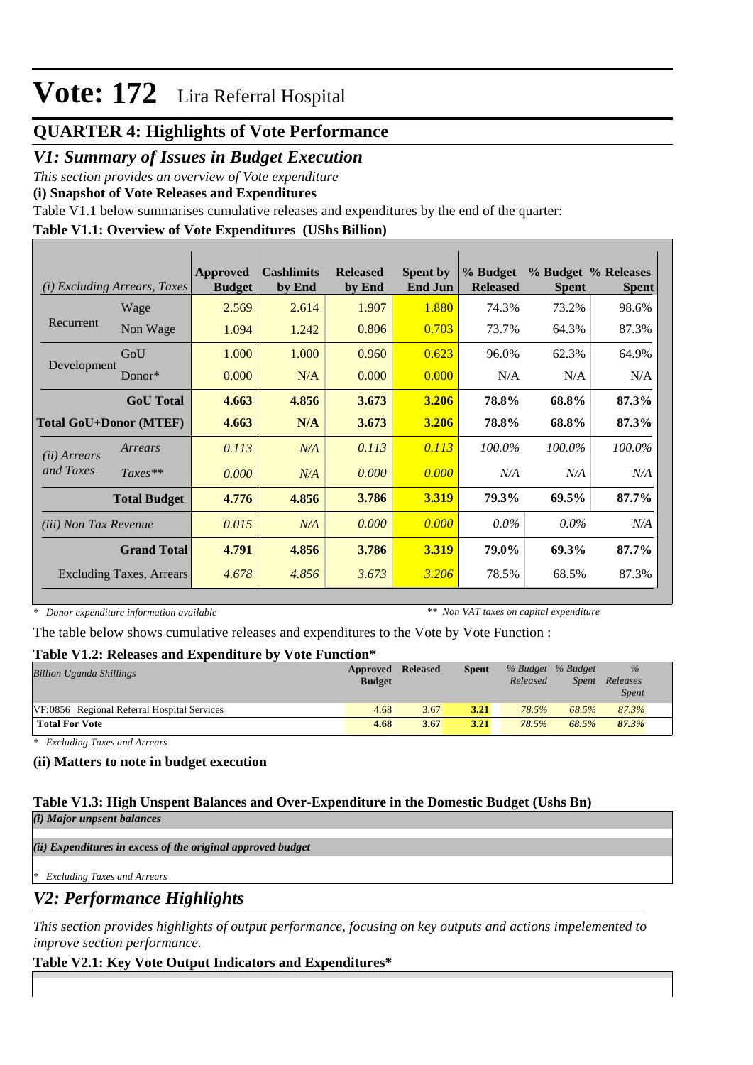# **QUARTER 4: Highlights of Vote Performance**

## *V1: Summary of Issues in Budget Execution*

*This section provides an overview of Vote expenditure* 

**(i) Snapshot of Vote Releases and Expenditures**

Table V1.1 below summarises cumulative releases and expenditures by the end of the quarter:

## **Table V1.1: Overview of Vote Expenditures (UShs Billion)**

|                               | (i) Excluding Arrears, Taxes | Approved<br><b>Budget</b> | <b>Cashlimits</b><br>by End | <b>Released</b><br>by End | <b>Spent by</b><br><b>End Jun</b> | % Budget<br><b>Released</b> | <b>Spent</b> | % Budget % Releases<br><b>Spent</b> |
|-------------------------------|------------------------------|---------------------------|-----------------------------|---------------------------|-----------------------------------|-----------------------------|--------------|-------------------------------------|
|                               | Wage                         | 2.569                     | 2.614                       | 1.907                     | 1.880                             | 74.3%                       | 73.2%        | 98.6%                               |
| Recurrent                     | Non Wage                     | 1.094                     | 1.242                       | 0.806                     | 0.703                             | 73.7%                       | 64.3%        | 87.3%                               |
|                               | GoU                          | 1.000                     | 1.000                       | 0.960                     | 0.623                             | 96.0%                       | 62.3%        | 64.9%                               |
| Development                   | $Donor*$                     | 0.000                     | N/A                         | 0.000                     | 0.000                             | N/A                         | N/A          | N/A                                 |
|                               | <b>GoU</b> Total             | 4.663                     | 4.856                       | 3.673                     | 3.206                             | 78.8%                       | 68.8%        | 87.3%                               |
| <b>Total GoU+Donor (MTEF)</b> |                              | 4.663                     | N/A                         | 3.673                     | 3.206                             | 78.8%                       | 68.8%        | 87.3%                               |
| ( <i>ii</i> ) Arrears         | Arrears                      | 0.113                     | N/A                         | 0.113                     | 0.113                             | 100.0%                      | 100.0%       | 100.0%                              |
| and Taxes                     | $Taxes**$                    | 0.000                     | N/A                         | 0.000                     | 0.000                             | N/A                         | N/A          | N/A                                 |
|                               | <b>Total Budget</b>          | 4.776                     | 4.856                       | 3.786                     | 3.319                             | 79.3%                       | 69.5%        | 87.7%                               |
| (iii) Non Tax Revenue         |                              | 0.015                     | N/A                         | 0.000                     | 0.000                             | $0.0\%$                     | $0.0\%$      | N/A                                 |
|                               | <b>Grand Total</b>           | 4.791                     | 4.856                       | 3.786                     | 3.319                             | 79.0%                       | 69.3%        | 87.7%                               |
|                               | Excluding Taxes, Arrears     | 4.678                     | 4.856                       | 3.673                     | 3.206                             | 78.5%                       | 68.5%        | 87.3%                               |

*\* Donor expenditure information available*

*\*\* Non VAT taxes on capital expenditure*

The table below shows cumulative releases and expenditures to the Vote by Vote Function :

### **Table V1.2: Releases and Expenditure by Vote Function\***

| A WAIV 'I AIWI ALVAVINJUD WALVE AZILDUZIVALUMA U IZI<br>$\sim$ $\sim$ $\sim$ $\sim$ $\sim$ $\sim$ $\sim$ $\sim$<br><b>Billion Uganda Shillings</b> | Approved<br><b>Budget</b> | <b>Released</b> | <b>Spent</b> | Released | % Budget % Budget<br>Spent | $\%$<br>Releases<br><i>Spent</i> |
|----------------------------------------------------------------------------------------------------------------------------------------------------|---------------------------|-----------------|--------------|----------|----------------------------|----------------------------------|
| VF:0856 Regional Referral Hospital Services                                                                                                        | 4.68                      | 3.67            | 3.21         | 78.5%    | 68.5%                      | 87.3%                            |
| <b>Total For Vote</b>                                                                                                                              | 4.68                      | 3.67            | 3.21         | 78.5%    | 68.5%                      | 87.3%                            |

*\* Excluding Taxes and Arrears*

### **(ii) Matters to note in budget execution**

#### **Table V1.3: High Unspent Balances and Over-Expenditure in the Domestic Budget (Ushs Bn)** *(i) Major unpsent balances*

*(ii) Expenditures in excess of the original approved budget*

*\* Excluding Taxes and Arrears*

*V2: Performance Highlights*

*This section provides highlights of output performance, focusing on key outputs and actions impelemented to improve section performance.*

### **Table V2.1: Key Vote Output Indicators and Expenditures\***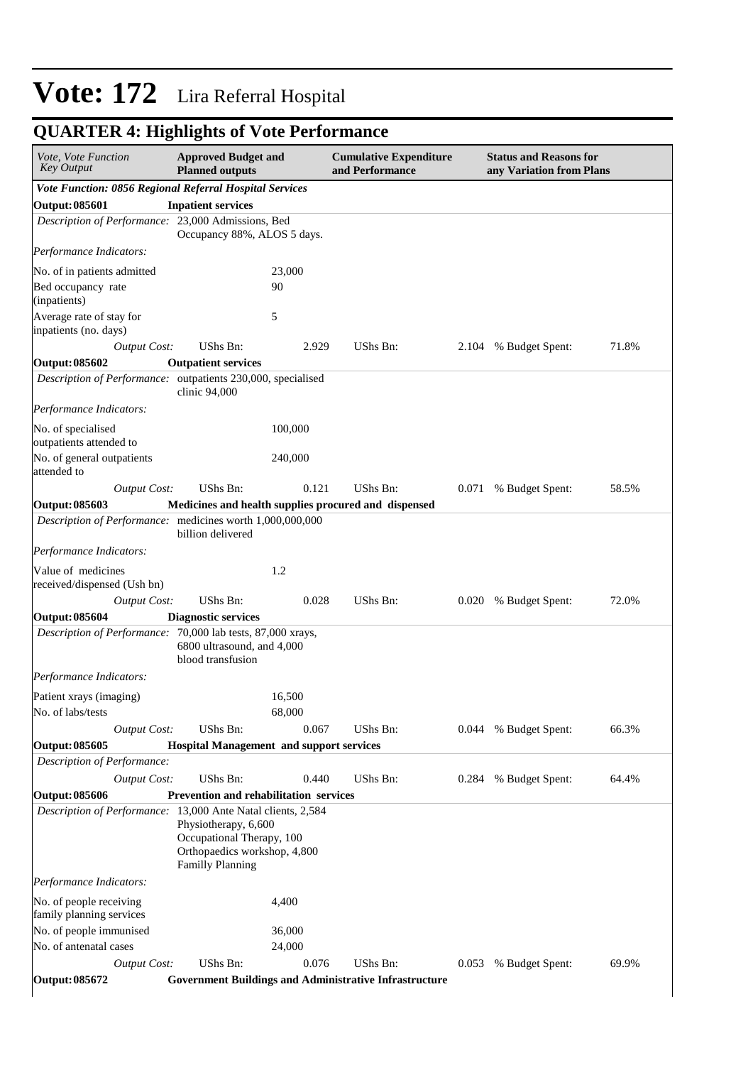#### **Cumulative Expenditure and Performance Approved Budget and Planned outputs Status and Reasons for any Variation from Plans** *Vote, Vote Function Key Output Vote Function: 0856 Regional Referral Hospital Services* **Output: 085601 Inpatient services** *Description of Performance:* 23,000 Admissions, Bed Occupancy 88%, ALOS 5 days. *Output Cost:* UShs Bn: 2.929 UShs Bn: 2.104 % Budget Spent: 71.8% *Performance Indicators:* No. of in patients admitted 23,000 Bed occupancy rate (inpatients) 90 Average rate of stay for inpatients (no. days) 5 **Output: 085602 Outpatient services** *Description of Performance:* outpatients 230,000, specialised clinic 94,000 *Output Cost:* UShs Bn: 0.121 UShs Bn: 0.071 % Budget Spent: 58.5% *Performance Indicators:* No. of specialised outpatients attended to 100,000 No. of general outpatients attended to 240,000 **Output: 085603 Medicines and health supplies procured and dispensed** *Description of Performance:* medicines worth 1,000,000,000 billion delivered *Output Cost:* UShs Bn: 0.028 UShs Bn: 0.020 % Budget Spent: 72.0% *Performance Indicators:* Value of medicines received/dispensed (Ush bn) 1.2 **Output: 085604 Diagnostic services** *Description of Performance:* 70,000 lab tests, 87,000 xrays, 6800 ultrasound, and 4,000 blood transfusion *Output Cost:* UShs Bn: 0.067 UShs Bn: 0.044 % Budget Spent: 66.3% *Performance Indicators:* Patient xrays (imaging) 16,500 No. of labs/tests 68,000 **Output: 085605 Hospital Management and support services** *Description of Performance: Output Cost:* UShs Bn: 0.440 UShs Bn: 0.284 % Budget Spent: 64.4% **Output: 085606 Prevention and rehabilitation services** *Description of Performance:* 13,000 Ante Natal clients, 2,584 Physiotherapy, 6,600 Occupational Therapy, 100 Orthopaedics workshop, 4,800 Familly Planning *Output Cost:* UShs Bn: 0.076 UShs Bn: 0.053 % Budget Spent: 69.9% *Performance Indicators:* No. of people receiving family planning services 4,400 No. of people immunised 36,000 No. of antenatal cases 24,000

### **QUARTER 4: Highlights of Vote Performance**

**Output: 085672 Government Buildings and Administrative Infrastructure**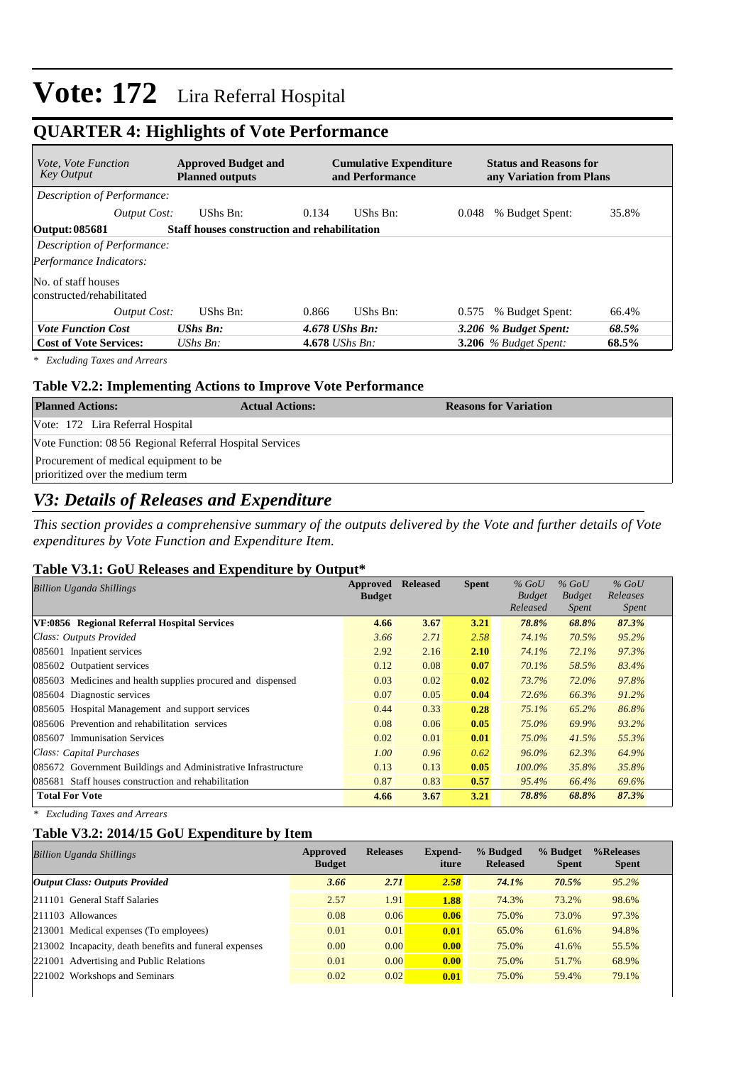## **QUARTER 4: Highlights of Vote Performance**

| <b>Approved Budget and</b><br><i>Vote, Vote Function</i><br><b>Key Output</b><br><b>Planned outputs</b> |                                                     | <b>Cumulative Expenditure</b><br>and Performance |          |       | <b>Status and Reasons for</b><br>any Variation from Plans |       |  |  |
|---------------------------------------------------------------------------------------------------------|-----------------------------------------------------|--------------------------------------------------|----------|-------|-----------------------------------------------------------|-------|--|--|
| Description of Performance:                                                                             |                                                     |                                                  |          |       |                                                           |       |  |  |
| Output Cost:                                                                                            | UShs Bn:                                            | 0.134                                            | UShs Bn: | 0.048 | % Budget Spent:                                           | 35.8% |  |  |
| Output: 085681                                                                                          | <b>Staff houses construction and rehabilitation</b> |                                                  |          |       |                                                           |       |  |  |
| Description of Performance:                                                                             |                                                     |                                                  |          |       |                                                           |       |  |  |
| Performance Indicators:                                                                                 |                                                     |                                                  |          |       |                                                           |       |  |  |
| No. of staff houses<br>constructed/rehabilitated                                                        |                                                     |                                                  |          |       |                                                           |       |  |  |
| Output Cost:                                                                                            | UShs Bn:                                            | 0.866                                            | UShs Bn: | 0.575 | % Budget Spent:                                           | 66.4% |  |  |
| <b>Vote Function Cost</b>                                                                               | <b>UShs Bn:</b>                                     | $4.678$ UShs Bn:                                 |          |       | 3.206 % Budget Spent:                                     | 68.5% |  |  |
| <b>Cost of Vote Services:</b>                                                                           | UShs $Bn$ :                                         | 4.678 <i>UShs Bn</i> :                           |          |       | $3.206$ % Budget Spent:                                   | 68.5% |  |  |

*\* Excluding Taxes and Arrears*

#### **Table V2.2: Implementing Actions to Improve Vote Performance**

| <b>Planned Actions:</b>                                                    | <b>Actual Actions:</b> | <b>Reasons for Variation</b> |
|----------------------------------------------------------------------------|------------------------|------------------------------|
| Vote: 172 Lira Referral Hospital                                           |                        |                              |
| Vote Function: 08 56 Regional Referral Hospital Services                   |                        |                              |
| Procurement of medical equipment to be<br>prioritized over the medium term |                        |                              |

## *V3: Details of Releases and Expenditure*

*This section provides a comprehensive summary of the outputs delivered by the Vote and further details of Vote expenditures by Vote Function and Expenditure Item.*

#### **Table V3.1: GoU Releases and Expenditure by Output\***

| <b>Billion Uganda Shillings</b>                               | Approved      | <b>Released</b> | <b>Spent</b> | $%$ GoU                   | $%$ GoU                       | $%$ GoU                  |
|---------------------------------------------------------------|---------------|-----------------|--------------|---------------------------|-------------------------------|--------------------------|
|                                                               | <b>Budget</b> |                 |              | <b>Budget</b><br>Released | <b>Budget</b><br><i>Spent</i> | Releases<br><b>Spent</b> |
|                                                               |               |                 |              |                           |                               |                          |
| VF:0856 Regional Referral Hospital Services                   | 4.66          | 3.67            | 3.21         | 78.8%                     | 68.8%                         | 87.3%                    |
| Class: Outputs Provided                                       | 3.66          | 2.71            | 2.58         | 74.1%                     | 70.5%                         | 95.2%                    |
| 085601 Inpatient services                                     | 2.92          | 2.16            | 2.10         | 74.1%                     | 72.1%                         | 97.3%                    |
| 085602 Outpatient services                                    | 0.12          | 0.08            | 0.07         | 70.1%                     | 58.5%                         | 83.4%                    |
| 085603 Medicines and health supplies procured and dispensed   | 0.03          | 0.02            | 0.02         | 73.7%                     | 72.0%                         | 97.8%                    |
| 085604 Diagnostic services                                    | 0.07          | 0.05            | 0.04         | 72.6%                     | 66.3%                         | 91.2%                    |
| 085605 Hospital Management and support services               | 0.44          | 0.33            | 0.28         | $75.1\%$                  | 65.2%                         | 86.8%                    |
| 085606 Prevention and rehabilitation services                 | 0.08          | 0.06            | 0.05         | 75.0%                     | 69.9%                         | 93.2%                    |
| 085607 Immunisation Services                                  | 0.02          | 0.01            | 0.01         | 75.0%                     | 41.5%                         | 55.3%                    |
| Class: Capital Purchases                                      | 1.00          | 0.96            | 0.62         | $96.0\%$                  | 62.3%                         | 64.9%                    |
| 085672 Government Buildings and Administrative Infrastructure | 0.13          | 0.13            | 0.05         | $100.0\%$                 | 35.8%                         | 35.8%                    |
| 085681 Staff houses construction and rehabilitation           | 0.87          | 0.83            | 0.57         | 95.4%                     | 66.4%                         | 69.6%                    |
| <b>Total For Vote</b>                                         | 4.66          | 3.67            | 3.21         | 78.8%                     | 68.8%                         | 87.3%                    |

*\* Excluding Taxes and Arrears*

#### **Table V3.2: 2014/15 GoU Expenditure by Item**

| <b>Billion Uganda Shillings</b>                        | Approved<br><b>Budget</b> | <b>Releases</b> | Expend-<br>iture | % Budged<br><b>Released</b> | % Budget<br><b>Spent</b> | %Releases<br><b>Spent</b> |
|--------------------------------------------------------|---------------------------|-----------------|------------------|-----------------------------|--------------------------|---------------------------|
| <b>Output Class: Outputs Provided</b>                  | 3.66                      | 2.71            | 2.58             | 74.1%                       | 70.5%                    | $95.2\%$                  |
| 211101 General Staff Salaries                          | 2.57                      | 1.91            | 1.88             | 74.3%                       | 73.2%                    | 98.6%                     |
| $ 211103$ Allowances                                   | 0.08                      | 0.06            | 0.06             | 75.0%                       | 73.0%                    | 97.3%                     |
| 213001 Medical expenses (To employees)                 | 0.01                      | 0.01            | 0.01             | 65.0%                       | 61.6%                    | 94.8%                     |
| 213002 Incapacity, death benefits and funeral expenses | 0.00                      | 0.00            | 0.00             | 75.0%                       | 41.6%                    | 55.5%                     |
| 221001 Advertising and Public Relations                | 0.01                      | 0.00            | 0.00             | 75.0%                       | 51.7%                    | 68.9%                     |
| 221002 Workshops and Seminars                          | 0.02                      | 0.02            | 0.01             | 75.0%                       | 59.4%                    | 79.1%                     |
|                                                        |                           |                 |                  |                             |                          |                           |